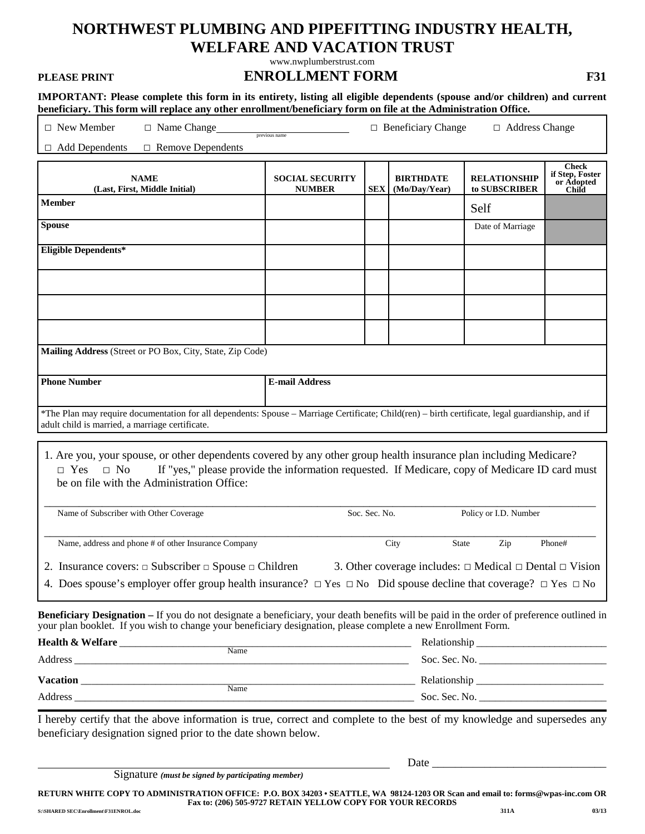# **NORTHWEST PLUMBING AND PIPEFITTING INDUSTRY HEALTH, WELFARE AND VACATION TRUST**

[www.nwplumberstrust.com](http://www.nwplumberstrust.com/)

### **PLEASE PRINT ENROLLMENT FORM F31**

**IMPORTANT: Please complete this form in its entirety, listing all eligible dependents (spouse and/or children) and current beneficiary. This form will replace any other enrollment/beneficiary form on file at the Administration Office.** 

| $\Box$ New Member<br>$\Box$ Name Change                                                                                                                                                                                                                                                      | <u>This form will replace any other emoniferments beneficially form on the active realiminate anon-office</u><br>$\Box$ Beneficiary Change<br>$\Box$ Address Change<br>previous name |               |                                   |                                                                        |                                                        |  |
|----------------------------------------------------------------------------------------------------------------------------------------------------------------------------------------------------------------------------------------------------------------------------------------------|--------------------------------------------------------------------------------------------------------------------------------------------------------------------------------------|---------------|-----------------------------------|------------------------------------------------------------------------|--------------------------------------------------------|--|
| $\Box$ Add Dependents<br>$\Box$ Remove Dependents                                                                                                                                                                                                                                            |                                                                                                                                                                                      |               |                                   |                                                                        |                                                        |  |
| <b>NAME</b><br>(Last, First, Middle Initial)                                                                                                                                                                                                                                                 | <b>SOCIAL SECURITY</b><br><b>NUMBER</b>                                                                                                                                              | <b>SEX</b>    | <b>BIRTHDATE</b><br>(Mo/Day/Year) | <b>RELATIONSHIP</b><br>to SUBSCRIBER                                   | <b>Check</b><br>if Step, Foster<br>or Adopted<br>Child |  |
| Member                                                                                                                                                                                                                                                                                       |                                                                                                                                                                                      |               |                                   | Self                                                                   |                                                        |  |
| <b>Spouse</b>                                                                                                                                                                                                                                                                                |                                                                                                                                                                                      |               |                                   | Date of Marriage                                                       |                                                        |  |
| <b>Eligible Dependents*</b>                                                                                                                                                                                                                                                                  |                                                                                                                                                                                      |               |                                   |                                                                        |                                                        |  |
|                                                                                                                                                                                                                                                                                              |                                                                                                                                                                                      |               |                                   |                                                                        |                                                        |  |
|                                                                                                                                                                                                                                                                                              |                                                                                                                                                                                      |               |                                   |                                                                        |                                                        |  |
|                                                                                                                                                                                                                                                                                              |                                                                                                                                                                                      |               |                                   |                                                                        |                                                        |  |
|                                                                                                                                                                                                                                                                                              |                                                                                                                                                                                      |               |                                   |                                                                        |                                                        |  |
| Mailing Address (Street or PO Box, City, State, Zip Code)                                                                                                                                                                                                                                    |                                                                                                                                                                                      |               |                                   |                                                                        |                                                        |  |
| <b>Phone Number</b>                                                                                                                                                                                                                                                                          | <b>E-mail Address</b>                                                                                                                                                                |               |                                   |                                                                        |                                                        |  |
|                                                                                                                                                                                                                                                                                              |                                                                                                                                                                                      |               |                                   |                                                                        |                                                        |  |
| *The Plan may require documentation for all dependents: Spouse – Marriage Certificate; Child(ren) – birth certificate, legal guardianship, and if<br>adult child is married, a marriage certificate.                                                                                         |                                                                                                                                                                                      |               |                                   |                                                                        |                                                        |  |
| 1. Are you, your spouse, or other dependents covered by any other group health insurance plan including Medicare?<br>If "yes," please provide the information requested. If Medicare, copy of Medicare ID card must<br>$\Box$ Yes<br>$\Box$ No<br>be on file with the Administration Office: |                                                                                                                                                                                      |               |                                   |                                                                        |                                                        |  |
| Name of Subscriber with Other Coverage                                                                                                                                                                                                                                                       |                                                                                                                                                                                      | Soc. Sec. No. |                                   | Policy or I.D. Number                                                  |                                                        |  |
| Name, address and phone # of other Insurance Company                                                                                                                                                                                                                                         |                                                                                                                                                                                      |               | State<br>City                     | Zip                                                                    | Phone#                                                 |  |
| 2. Insurance covers: $\Box$ Subscriber $\Box$ Spouse $\Box$ Children                                                                                                                                                                                                                         |                                                                                                                                                                                      |               |                                   | 3. Other coverage includes: $\Box$ Medical $\Box$ Dental $\Box$ Vision |                                                        |  |
| 4. Does spouse's employer offer group health insurance? $\Box$ Yes $\Box$ No Did spouse decline that coverage? $\Box$ Yes $\Box$ No                                                                                                                                                          |                                                                                                                                                                                      |               |                                   |                                                                        |                                                        |  |
| Beneficiary Designation – If you do not designate a beneficiary, your death benefits will be paid in the order of preference outlined in<br>your plan booklet. If you wish to change your beneficiary designation, please complete a new Enrollment Form.                                    |                                                                                                                                                                                      |               |                                   |                                                                        |                                                        |  |
|                                                                                                                                                                                                                                                                                              |                                                                                                                                                                                      |               |                                   |                                                                        |                                                        |  |
|                                                                                                                                                                                                                                                                                              |                                                                                                                                                                                      |               |                                   |                                                                        |                                                        |  |
|                                                                                                                                                                                                                                                                                              |                                                                                                                                                                                      |               |                                   |                                                                        |                                                        |  |
|                                                                                                                                                                                                                                                                                              |                                                                                                                                                                                      |               |                                   |                                                                        |                                                        |  |
| I hereby certify that the above information is true, correct and complete to the best of my knowledge and supersedes any<br>beneficiary designation signed prior to the date shown below.                                                                                                    |                                                                                                                                                                                      |               |                                   |                                                                        |                                                        |  |

|  |  | Signature (must be signed by participating member) |  |
|--|--|----------------------------------------------------|--|
|--|--|----------------------------------------------------|--|

**RETURN WHITE COPY TO ADMINISTRATION OFFICE: P.O. BOX 34203 • SEATTLE, WA 98124-1203 OR Scan and email to: forms@wpas-inc.com OR Fax to: (206) 505-9727 RETAIN YELLOW COPY FOR YOUR RECORDS 311A** 311A **311A** 311A 311A

Date \_\_\_\_\_\_\_\_\_\_\_\_\_\_\_\_\_\_\_\_\_\_\_\_\_\_\_\_\_\_